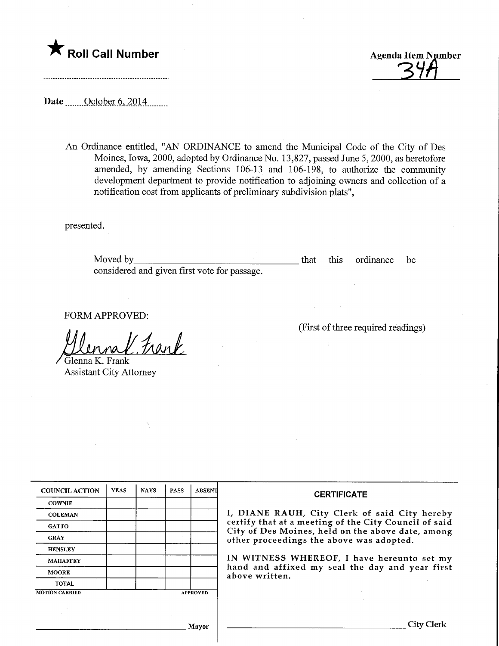

Roll Call Number Agenda Item Number Agenda Item Number and Agenda Item Number

(First of three required readings)

Date <u>October 6, 2014</u>

An Ordinance entitled, "AN ORDINANCE to amend the Municipal Code of the City of Des Moines, Iowa, 2000, adopted by Ordinance No. 13,827, passed June 5, 2000, as heretofore amended, by amending Sections 106-13 and 106-198, to authorize the community development department to provide notification to adjoining owners and collection of a notification cost from applicants of preliminary subdivision plats",

presented.

Moved by considered and given first vote for passage. that this ordinance be

FORM APPROVED:

Frank

Glenna K. Frank Assistant City Attorney

| <b>COUNCIL ACTION</b> | <b>YEAS</b> | <b>NAYS</b> | <b>PASS</b> | <b>ABSENT</b>   | <b>CERTIFICATE</b>                                                                                                                                                                                      |
|-----------------------|-------------|-------------|-------------|-----------------|---------------------------------------------------------------------------------------------------------------------------------------------------------------------------------------------------------|
| <b>COWNIE</b>         |             |             |             |                 |                                                                                                                                                                                                         |
| <b>COLEMAN</b>        |             |             |             |                 | I, DIANE RAUH, City Clerk of said City hereby<br>certify that at a meeting of the City Council of said<br>City of Des Moines, held on the above date, among<br>other proceedings the above was adopted. |
| <b>GATTO</b>          |             |             |             |                 |                                                                                                                                                                                                         |
| <b>GRAY</b>           |             |             |             |                 |                                                                                                                                                                                                         |
| <b>HENSLEY</b>        |             |             |             |                 |                                                                                                                                                                                                         |
| <b>MAHAFFEY</b>       |             |             |             |                 | IN WITNESS WHEREOF, I have hereunto set my<br>hand and affixed my seal the day and year first<br>above written.                                                                                         |
| <b>MOORE</b>          |             |             |             |                 |                                                                                                                                                                                                         |
| <b>TOTAL</b>          |             |             |             |                 |                                                                                                                                                                                                         |
| <b>MOTION CARRIED</b> |             |             |             | <b>APPROVED</b> |                                                                                                                                                                                                         |
|                       |             |             |             | Mayor           | City Clerk                                                                                                                                                                                              |
|                       |             |             |             |                 |                                                                                                                                                                                                         |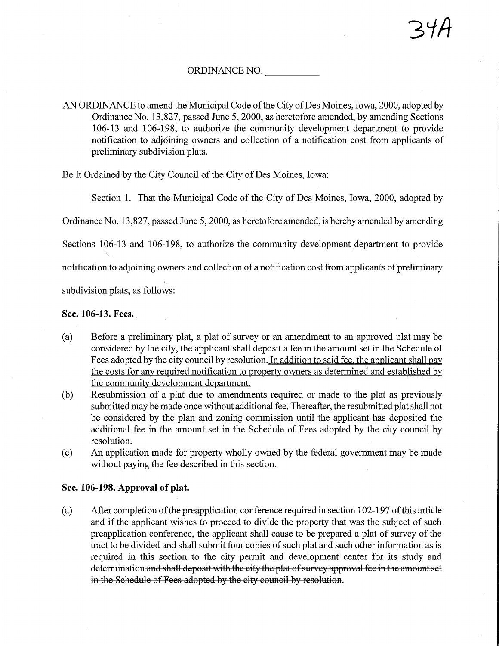## ORDINANCE NO.

AN ORDINANCE to amend the Municipal Code of the City of Des Moines, Iowa, 2000, adopted by Ordinance No. 13,827, passed June 5,2000, as heretofore amended, by amending Sections 106-13 and 106-198, to authorize the community development department to provide notification to adjoining owners and collection of a notification cost from applicants of preliminary subdivision plats.

Be It Ordained by the City Council of the City of Des Moines, Iowa:

Section 1. That the Municipal Code of the City of Des Moines, Iowa, 2000, adopted by

Ordinance No. 13,827, passed June 5, 2000, as heretofore amended, is hereby amended by amending

Sections 106-13 and 106-198, to authorize the community development department to provide

notification to adjoining owners and collection of a notification cost from applicants of preliminary

subdivision plats, as follows:

## Sec. 106-13. Fees.

- (a) Before a preliminary plat, a plat of survey or an amendment to an approved plat may be considered by the city, the applicant shall deposit a fee in the amount set in the Schedule of Fees adopted by the city council by resolution. In addition to said fee, the applicant shall pay the costs for any required notification to property owners as determined and established by the community development department.
- (b) Resubmission of a plat due to amendments required or made to the plat as previously submitted may be made once without additional fee. Thereafter, the resubmitted plat shall not be considered by the plan and zoning commission until the applicant has deposited the additional fee in the amount set in the Schedule of Fees adopted by the city council by resolution.
- (c) An application made for property wholly owned by the federal government may be made without paying the fee described in this section.

## Sec. 106-198. Approval of plat.

(a) After completion of the preapplication conference required in section 1 02-197 of this article and if the applicant wishes to proceed to divide the property that was the subject of such preapplication conference, the applicant shall cause to be prepared a plat of survey of the tract to be divided and shall submit four copies of such plat and such other information as is required in this section to the city permit and development center for its study and determination and shall deposit with the city the plat of survey approval fee in the amount set in the Schedule of Fees adopted by the city council by resolution.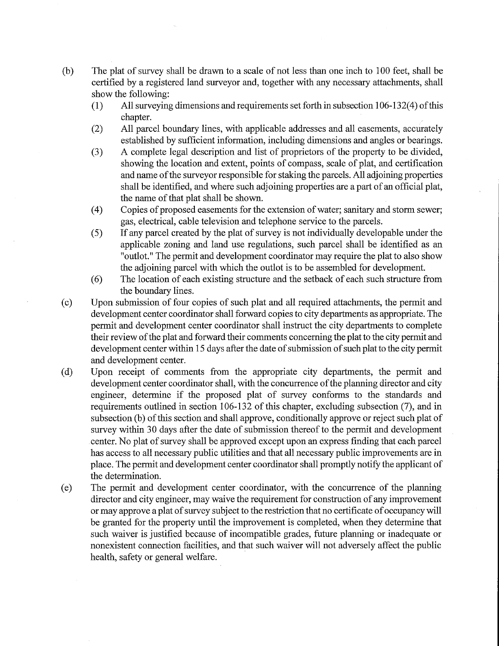- (b) The plat of survey shall be drawn to a scale of not less than one inch to 100 feet, shall be certified by a registered land surveyor and, together with any necessary attachments, shall show the following:
	- (1) All surveying dimensions and requirements set forth in subsection 106-132(4) of this chapter.
	- (2) All parcel boundary lines, with applicable addresses and all easements, accurately established by sufficient information, including dimensions and angles or bearings.
	- (3) A complete legal description and list of proprietors of the property to be divided, showing the location and extent, points of compass, scale of plat, and certification and name of the surveyor responsible for staking the parcels. All adjoining properties shall be identified, and where such adjoining properties are a part of am official plat, the name of that plat shall be shown.
	- (4) Copies of proposed easements for the extension of water; sanitary and storm sewer; gas, electrical, cable television and telephone service to the parcels.
	- (5) If any parcel created by the plat of survey is not individually developable under the applicable zoning and land use regulations, such parcel shall be identified as an "outlot." The permit and development coordinator may require the plat to also show the adjoining parcel with which the outlot is to be assembled for development.
	- (6) The location of each existing structire and the setback of each such structure from the boundary lines.
- (c) Upon submission of four copies of such plat and all required attachments, the permit and development center coordinator shall forward copies to city departments as appropriate. The permit and development center coordinator shall instruct the city departments to complete their review of the plat and forward their comments concerning the plat to the city permit and development center within 15 days after the date of submission of such plat to the city permit and development center.
- (d) Upon receipt of comments from the appropriate city departments, the permit and development center coordinator shall, with the concurrence of the planning director and city engineer, determine if the proposed plat of survey conforms to the standards and requirements outlined in section 106-132 of this chapter, excluding subsection (7), and in subsection (b) of this section and shall approve, conditionally approve or reject such plat of survey within 30 days after the date of submission thereof to the permit and development center. No plat of survey shall be approved except upon an express finding that each parcel has access to all necessary public utilities and that all necessary public improvements are in place. The permit and development center coordinator shall promptly notify the applicant of the determination.
- (e) The permit and development center coordinator, with the concurrence of the planning director and city engineer, may waive the requirement for construction of any improvement or may approve a plat of survey subject to the restriction that no certificate of occupancy will be granted for the property until the improvement is completed, when they determine that such waiver is justified because of incompatible grades, future planning or inadequate or nonexistent connection facilities, and that such waiver will not adversely affect the public health, safety or general welfare.